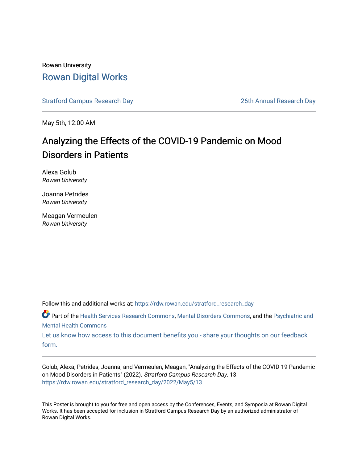### Rowan University [Rowan Digital Works](https://rdw.rowan.edu/)

[Stratford Campus Research Day](https://rdw.rowan.edu/stratford_research_day) [26th Annual Research Day](https://rdw.rowan.edu/stratford_research_day/2022) 

May 5th, 12:00 AM

# Analyzing the Effects of the COVID-19 Pandemic on Mood Disorders in Patients

Alexa Golub Rowan University

Joanna Petrides Rowan University

Meagan Vermeulen Rowan University

Follow this and additional works at: [https://rdw.rowan.edu/stratford\\_research\\_day](https://rdw.rowan.edu/stratford_research_day?utm_source=rdw.rowan.edu%2Fstratford_research_day%2F2022%2FMay5%2F13&utm_medium=PDF&utm_campaign=PDFCoverPages)

Part of the [Health Services Research Commons,](https://network.bepress.com/hgg/discipline/816?utm_source=rdw.rowan.edu%2Fstratford_research_day%2F2022%2FMay5%2F13&utm_medium=PDF&utm_campaign=PDFCoverPages) [Mental Disorders Commons,](https://network.bepress.com/hgg/discipline/968?utm_source=rdw.rowan.edu%2Fstratford_research_day%2F2022%2FMay5%2F13&utm_medium=PDF&utm_campaign=PDFCoverPages) and the [Psychiatric and](https://network.bepress.com/hgg/discipline/711?utm_source=rdw.rowan.edu%2Fstratford_research_day%2F2022%2FMay5%2F13&utm_medium=PDF&utm_campaign=PDFCoverPages)  [Mental Health Commons](https://network.bepress.com/hgg/discipline/711?utm_source=rdw.rowan.edu%2Fstratford_research_day%2F2022%2FMay5%2F13&utm_medium=PDF&utm_campaign=PDFCoverPages) 

[Let us know how access to this document benefits you - share your thoughts on our feedback](https://www.lib.rowan.edu/rdw-feedback?ref=https://rdw.rowan.edu/stratford_research_day/2022/May5/13) [form.](https://www.lib.rowan.edu/rdw-feedback?ref=https://rdw.rowan.edu/stratford_research_day/2022/May5/13)

Golub, Alexa; Petrides, Joanna; and Vermeulen, Meagan, "Analyzing the Effects of the COVID-19 Pandemic on Mood Disorders in Patients" (2022). Stratford Campus Research Day. 13. [https://rdw.rowan.edu/stratford\\_research\\_day/2022/May5/13](https://rdw.rowan.edu/stratford_research_day/2022/May5/13?utm_source=rdw.rowan.edu%2Fstratford_research_day%2F2022%2FMay5%2F13&utm_medium=PDF&utm_campaign=PDFCoverPages) 

This Poster is brought to you for free and open access by the Conferences, Events, and Symposia at Rowan Digital Works. It has been accepted for inclusion in Stratford Campus Research Day by an authorized administrator of Rowan Digital Works.